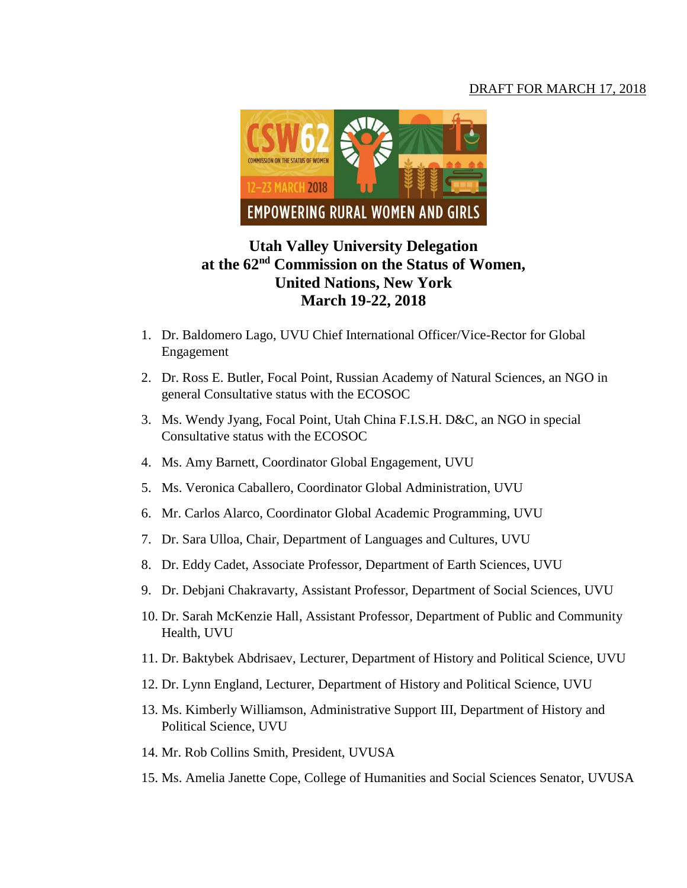## DRAFT FOR MARCH 17, 2018



## **Utah Valley University Delegation at the 62nd Commission on the Status of Women, United Nations, New York March 19-22, 2018**

- 1. Dr. Baldomero Lago, UVU Chief International Officer/Vice-Rector for Global Engagement
- 2. Dr. Ross E. Butler, Focal Point, Russian Academy of Natural Sciences, an NGO in general Consultative status with the ECOSOC
- 3. Ms. Wendy Jyang, Focal Point, Utah China F.I.S.H. D&C, an NGO in special Consultative status with the ECOSOC
- 4. Ms. Amy Barnett, Coordinator Global Engagement, UVU
- 5. Ms. Veronica Caballero, Coordinator Global Administration, UVU
- 6. Mr. Carlos Alarco, Coordinator Global Academic Programming, UVU
- 7. Dr. Sara Ulloa, Chair, Department of Languages and Cultures, UVU
- 8. Dr. Eddy Cadet, Associate Professor, Department of Earth Sciences, UVU
- 9. Dr. Debjani Chakravarty, Assistant Professor, Department of Social Sciences, UVU
- 10. Dr. Sarah McKenzie Hall, Assistant Professor, Department of Public and Community Health, UVU
- 11. Dr. Baktybek Abdrisaev, Lecturer, Department of History and Political Science, UVU
- 12. Dr. Lynn England, Lecturer, Department of History and Political Science, UVU
- 13. Ms. Kimberly Williamson, Administrative Support III, Department of History and Political Science, UVU
- 14. Mr. Rob Collins Smith, President, UVUSA
- 15. Ms. Amelia Janette Cope, College of Humanities and Social Sciences Senator, UVUSA